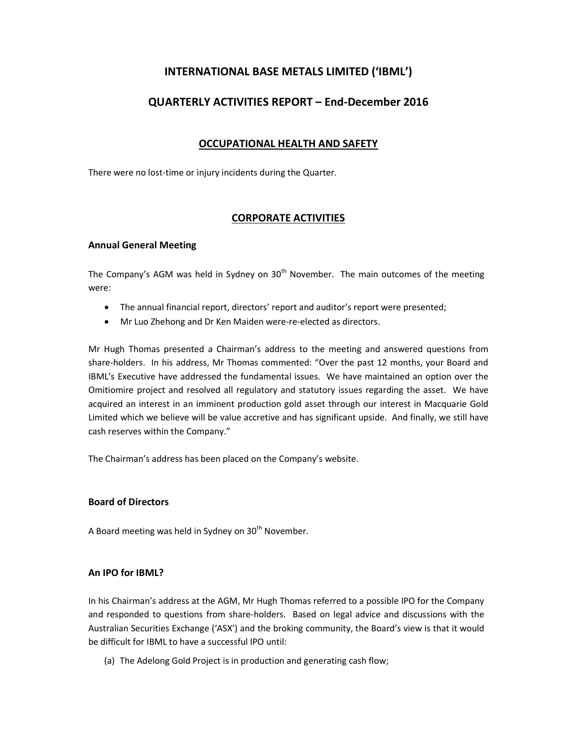# INTERNATIONAL BASE METALS LIMITED ('IBML')

# QUARTERLY ACTIVITIES REPORT – End-December 2016

# OCCUPATIONAL HEALTH AND SAFETY

There were no lost-time or injury incidents during the Quarter.

# CORPORATE ACTIVITIES

#### Annual General Meeting

The Company's AGM was held in Sydney on 30<sup>th</sup> November. The main outcomes of the meeting were:

- The annual financial report, directors' report and auditor's report were presented;
- Mr Luo Zhehong and Dr Ken Maiden were-re-elected as directors.

Mr Hugh Thomas presented a Chairman's address to the meeting and answered questions from share-holders. In his address, Mr Thomas commented: "Over the past 12 months, your Board and IBML's Executive have addressed the fundamental issues. We have maintained an option over the Omitiomire project and resolved all regulatory and statutory issues regarding the asset. We have acquired an interest in an imminent production gold asset through our interest in Macquarie Gold Limited which we believe will be value accretive and has significant upside. And finally, we still have cash reserves within the Company."

The Chairman's address has been placed on the Company's website.

## Board of Directors

A Board meeting was held in Sydney on 30<sup>th</sup> November.

## An IPO for IBML?

In his Chairman's address at the AGM, Mr Hugh Thomas referred to a possible IPO for the Company and responded to questions from share-holders. Based on legal advice and discussions with the Australian Securities Exchange ('ASX') and the broking community, the Board's view is that it would be difficult for IBML to have a successful IPO until:

(a) The Adelong Gold Project is in production and generating cash flow;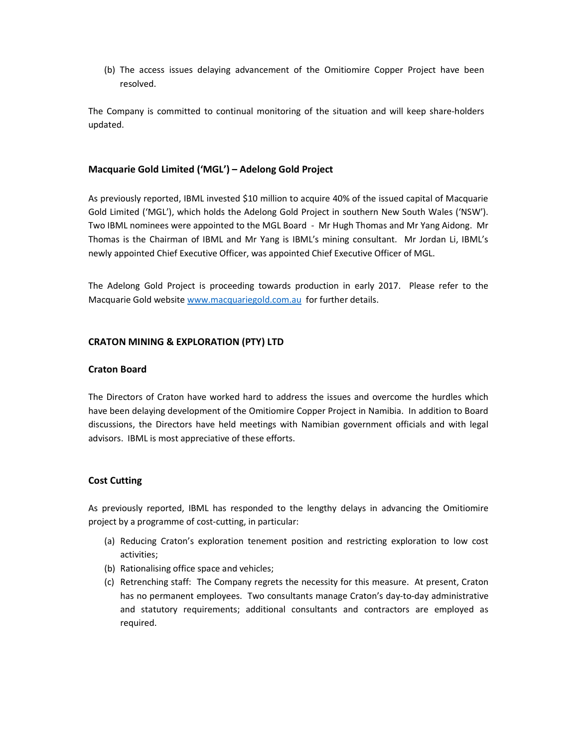(b) The access issues delaying advancement of the Omitiomire Copper Project have been resolved.

The Company is committed to continual monitoring of the situation and will keep share-holders updated.

#### Macquarie Gold Limited ('MGL') – Adelong Gold Project

As previously reported, IBML invested \$10 million to acquire 40% of the issued capital of Macquarie Gold Limited ('MGL'), which holds the Adelong Gold Project in southern New South Wales ('NSW'). Two IBML nominees were appointed to the MGL Board - Mr Hugh Thomas and Mr Yang Aidong. Mr Thomas is the Chairman of IBML and Mr Yang is IBML's mining consultant. Mr Jordan Li, IBML's newly appointed Chief Executive Officer, was appointed Chief Executive Officer of MGL.

The Adelong Gold Project is proceeding towards production in early 2017. Please refer to the Macquarie Gold website www.macquariegold.com.au for further details.

#### CRATON MINING & EXPLORATION (PTY) LTD

#### Craton Board

The Directors of Craton have worked hard to address the issues and overcome the hurdles which have been delaying development of the Omitiomire Copper Project in Namibia. In addition to Board discussions, the Directors have held meetings with Namibian government officials and with legal advisors. IBML is most appreciative of these efforts.

## Cost Cutting

As previously reported, IBML has responded to the lengthy delays in advancing the Omitiomire project by a programme of cost-cutting, in particular:

- (a) Reducing Craton's exploration tenement position and restricting exploration to low cost activities;
- (b) Rationalising office space and vehicles;
- (c) Retrenching staff: The Company regrets the necessity for this measure. At present, Craton has no permanent employees. Two consultants manage Craton's day-to-day administrative and statutory requirements; additional consultants and contractors are employed as required.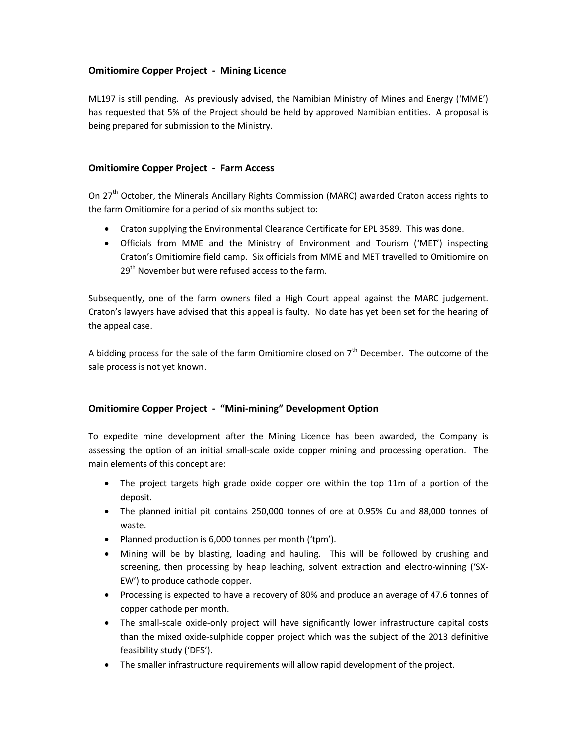# Omitiomire Copper Project - Mining Licence

ML197 is still pending. As previously advised, the Namibian Ministry of Mines and Energy ('MME') has requested that 5% of the Project should be held by approved Namibian entities. A proposal is being prepared for submission to the Ministry.

## Omitiomire Copper Project - Farm Access

On 27<sup>th</sup> October, the Minerals Ancillary Rights Commission (MARC) awarded Craton access rights to the farm Omitiomire for a period of six months subject to:

- Craton supplying the Environmental Clearance Certificate for EPL 3589. This was done.
- Officials from MME and the Ministry of Environment and Tourism ('MET') inspecting Craton's Omitiomire field camp. Six officials from MME and MET travelled to Omitiomire on 29<sup>th</sup> November but were refused access to the farm.

Subsequently, one of the farm owners filed a High Court appeal against the MARC judgement. Craton's lawyers have advised that this appeal is faulty. No date has yet been set for the hearing of the appeal case.

A bidding process for the sale of the farm Omitiomire closed on  $7<sup>th</sup>$  December. The outcome of the sale process is not yet known.

## Omitiomire Copper Project - "Mini-mining" Development Option

To expedite mine development after the Mining Licence has been awarded, the Company is assessing the option of an initial small-scale oxide copper mining and processing operation. The main elements of this concept are:

- The project targets high grade oxide copper ore within the top 11m of a portion of the deposit.
- The planned initial pit contains 250,000 tonnes of ore at 0.95% Cu and 88,000 tonnes of waste.
- Planned production is 6,000 tonnes per month ('tpm').
- Mining will be by blasting, loading and hauling. This will be followed by crushing and screening, then processing by heap leaching, solvent extraction and electro-winning ('SX-EW') to produce cathode copper.
- Processing is expected to have a recovery of 80% and produce an average of 47.6 tonnes of copper cathode per month.
- The small-scale oxide-only project will have significantly lower infrastructure capital costs than the mixed oxide-sulphide copper project which was the subject of the 2013 definitive feasibility study ('DFS').
- The smaller infrastructure requirements will allow rapid development of the project.